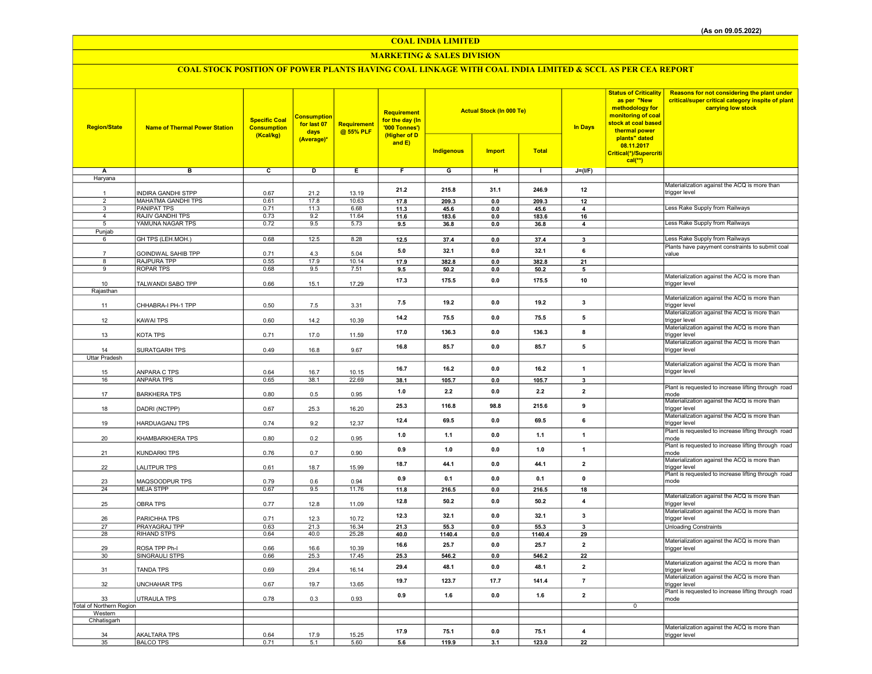## COAL INDIA LIMITED

## MARKETING & SALES DIVISION

# COAL STOCK POSITION OF POWER PLANTS HAVING COAL LINKAGE WITH COAL INDIA LIMITED & SCCL AS PER CEA REPORT

| <b>Region/State</b>                       | <b>Name of Thermal Power Station</b>   | <b>Specific Coal</b><br><b>Consumption</b><br>(Kcal/kg) | <b>Consumption</b><br>for last 07<br>days<br>(Average)* | <b>Requirement</b><br>@ 55% PLF | Requirement<br>for the day (In<br>'000 Tonnes')<br>(Higher of D<br>and E) |                   | <b>Actual Stock (In 000 Te)</b> |               | <b>In Days</b>          | <b>Status of Criticality</b><br>as per "New<br>methodology for<br>monitoring of coal<br>stock at coal based<br>thermal power<br>plants" dated<br>08.11.2017 | Reasons for not considering the plant under<br>critical/super critical category inspite of plant<br>carrying low stock |
|-------------------------------------------|----------------------------------------|---------------------------------------------------------|---------------------------------------------------------|---------------------------------|---------------------------------------------------------------------------|-------------------|---------------------------------|---------------|-------------------------|-------------------------------------------------------------------------------------------------------------------------------------------------------------|------------------------------------------------------------------------------------------------------------------------|
|                                           |                                        |                                                         |                                                         |                                 |                                                                           | <b>Indigenous</b> | <b>Import</b>                   | <b>Total</b>  |                         | Critical(*)/Supercriti<br>$cal(**)$                                                                                                                         |                                                                                                                        |
| Α                                         | в                                      | c                                                       | D                                                       | Ε                               | $\overline{F}$                                                            | G                 | н                               | $\mathbf{L}$  | $J=(I/F)$               |                                                                                                                                                             |                                                                                                                        |
| Haryana                                   |                                        |                                                         |                                                         |                                 |                                                                           |                   |                                 |               |                         |                                                                                                                                                             |                                                                                                                        |
|                                           |                                        |                                                         |                                                         |                                 | 21.2                                                                      | 215.8             | 31.1                            | 246.9         | 12                      |                                                                                                                                                             | Materialization against the ACQ is more than                                                                           |
| $\mathbf{1}$                              | <b>INDIRA GANDHI STPP</b>              | 0.67                                                    | 21.2                                                    | 13.19                           |                                                                           |                   |                                 |               |                         |                                                                                                                                                             | trigger level                                                                                                          |
| $\overline{2}$<br>$\overline{\mathbf{3}}$ | <b>MAHATMA GANDHI TPS</b>              | 0.61                                                    | 17.8                                                    | 10.63                           | 17.8                                                                      | 209.3             | $\mathbf{0.0}$                  | 209.3         | 12                      |                                                                                                                                                             | Less Rake Supply from Railways                                                                                         |
| $\overline{4}$                            | <b>PANIPAT TPS</b><br>RAJIV GANDHI TPS | 0.71<br>0.73                                            | 11.3<br>9.2                                             | 6.68<br>11.64                   | 11.3<br>11.6                                                              | 45.6<br>183.6     | 0.0<br>0.0                      | 45.6          | 4<br>16                 |                                                                                                                                                             |                                                                                                                        |
| 5                                         | YAMUNA NAGAR TPS                       | 0.72                                                    | 9.5                                                     | 5.73                            | 9.5                                                                       | 36.8              | 0.0                             | 183.6<br>36.8 | 4                       |                                                                                                                                                             | Less Rake Supply from Railways                                                                                         |
| Punjab                                    |                                        |                                                         |                                                         |                                 |                                                                           |                   |                                 |               |                         |                                                                                                                                                             |                                                                                                                        |
| 6                                         | GH TPS (LEH.MOH.)                      | 0.68                                                    | 12.5                                                    | 8.28                            | 12.5                                                                      | 37.4              | $\mathbf{0.0}$                  | 37.4          | $\mathbf{3}$            |                                                                                                                                                             | Less Rake Supply from Railways                                                                                         |
|                                           |                                        |                                                         |                                                         |                                 | 5.0                                                                       | 32.1              | 0.0                             | 32.1          | 6                       |                                                                                                                                                             | Plants have payyment constraints to submit coal                                                                        |
|                                           | GOINDWAL SAHIB TPP                     | 0.71<br>0.55                                            | 4.3<br>17.9                                             | 5.04<br>10.14                   |                                                                           |                   |                                 |               |                         |                                                                                                                                                             | value                                                                                                                  |
| 8<br>9                                    | RAJPURA TPP<br><b>ROPAR TPS</b>        | 0.68                                                    | 9.5                                                     | 7.51                            | 17.9<br>9.5                                                               | 382.8<br>50.2     | 0.0<br>0.0                      | 382.8<br>50.2 | 21<br>5                 |                                                                                                                                                             |                                                                                                                        |
|                                           |                                        |                                                         |                                                         |                                 |                                                                           |                   |                                 |               |                         |                                                                                                                                                             | Materialization against the ACQ is more than                                                                           |
| 10                                        | TALWANDI SABO TPP                      | 0.66                                                    | 15.1                                                    | 17.29                           | 17.3                                                                      | 175.5             | 0.0                             | 175.5         | 10                      |                                                                                                                                                             | trigger level                                                                                                          |
| Rajasthan                                 |                                        |                                                         |                                                         |                                 |                                                                           |                   |                                 |               |                         |                                                                                                                                                             |                                                                                                                        |
| 11                                        | CHHABRA-I PH-1 TPP                     | 0.50                                                    | 7.5                                                     | 3.31                            | 7.5                                                                       | 19.2              | 0.0                             | 19.2          | 3                       |                                                                                                                                                             | Materialization against the ACQ is more than<br>trigger level                                                          |
| 12                                        | <b>KAWAI TPS</b>                       | 0.60                                                    | 14.2                                                    | 10.39                           | 14.2                                                                      | 75.5              | 0.0                             | 75.5          | 5                       |                                                                                                                                                             | Materialization against the ACQ is more than<br>trigger level                                                          |
| 13                                        | KOTA TPS                               | 0.71                                                    | 17.0                                                    | 11.59                           | 17.0                                                                      | 136.3             | $0.0\,$                         | 136.3         | 8                       |                                                                                                                                                             | Materialization against the ACQ is more than<br>trigger level                                                          |
|                                           |                                        |                                                         |                                                         |                                 | 16.8                                                                      | 85.7              | 0.0                             | 85.7          | $\sqrt{5}$              |                                                                                                                                                             | Materialization against the ACQ is more than                                                                           |
| 14<br><b>Uttar Pradesh</b>                | SURATGARH TPS                          | 0.49                                                    | 16.8                                                    | 9.67                            |                                                                           |                   |                                 |               |                         |                                                                                                                                                             | trigger level                                                                                                          |
|                                           |                                        |                                                         |                                                         |                                 |                                                                           |                   |                                 |               |                         |                                                                                                                                                             | Materialization against the ACQ is more than                                                                           |
| 15                                        | ANPARA C TPS                           | 0.64                                                    | 16.7                                                    | 10.15                           | 16.7                                                                      | 16.2              | 0.0                             | 16.2          | $\mathbf{1}$            |                                                                                                                                                             | trigger level                                                                                                          |
| 16                                        | <b>ANPARA TPS</b>                      | 0.65                                                    | 38.1                                                    | 22.69                           | 38.1                                                                      | 105.7             | $0.0\,$                         | 105.7         | $\overline{\mathbf{3}}$ |                                                                                                                                                             |                                                                                                                        |
| 17                                        | <b>BARKHERA TPS</b>                    | 0.80                                                    | 0.5                                                     | 0.95                            | 1.0                                                                       | 2.2               | 0.0                             | 2.2           | $\overline{2}$          |                                                                                                                                                             | Plant is requested to increase lifting through road<br>mode                                                            |
| 18                                        | DADRI (NCTPP)                          | 0.67                                                    | 25.3                                                    | 16.20                           | 25.3                                                                      | 116.8             | 98.8                            | 215.6         | 9                       |                                                                                                                                                             | Materialization against the ACQ is more than<br>trigger level                                                          |
| 19                                        | <b>HARDUAGANJ TPS</b>                  | 0.74                                                    | 9.2                                                     | 12.37                           | 12.4                                                                      | 69.5              | 0.0                             | 69.5          | 6                       |                                                                                                                                                             | Materialization against the ACQ is more than<br>trigger level                                                          |
| 20                                        | KHAMBARKHERA TPS                       | 0.80                                                    | 0.2                                                     | 0.95                            | 1.0                                                                       | 1.1               | 0.0                             | 1.1           | $\overline{1}$          |                                                                                                                                                             | Plant is requested to increase lifting through road<br>mode                                                            |
| 21                                        | KUNDARKI TPS                           | 0.76                                                    | 0.7                                                     | 0.90                            | 0.9                                                                       | 1.0               | 0.0                             | 1.0           | 1                       |                                                                                                                                                             | Plant is requested to increase lifting through road<br>mode                                                            |
| 22                                        | <b>LALITPUR TPS</b>                    | 0.61                                                    | 18.7                                                    | 15.99                           | 18.7                                                                      | 44.1              | 0.0                             | 44.1          | $\overline{\mathbf{2}}$ |                                                                                                                                                             | Materialization against the ACQ is more than<br>trigger level                                                          |
| 23                                        | MAQSOODPUR TPS                         | 0.79                                                    | 0.6                                                     | 0.94                            | 0.9                                                                       | 0.1               | 0.0                             | 0.1           | $\mathbf 0$             |                                                                                                                                                             | Plant is requested to increase lifting through road<br>mode                                                            |
| 24                                        | <b>MEJA STPP</b>                       | 0.67                                                    | 9.5                                                     | 11.76                           | 11.8                                                                      | 216.5             | 0.0                             | 216.5         | 18                      |                                                                                                                                                             |                                                                                                                        |
| 25                                        | <b>OBRA TPS</b>                        | 0.77                                                    | 12.8                                                    | 11.09                           | 12.8                                                                      | 50.2              | 0.0                             | 50.2          | $\overline{4}$          |                                                                                                                                                             | Materialization against the ACQ is more than<br>trigger level                                                          |
| 26                                        | PARICHHA TPS                           | 0.71                                                    | 12.3                                                    | 10.72                           | 12.3                                                                      | 32.1              | 0.0                             | 32.1          | 3                       |                                                                                                                                                             | Materialization against the ACQ is more than<br>trigger level                                                          |
| 27                                        | PRAYAGRAJ TPP                          | 0.63                                                    | 21.3                                                    | 16.34                           | 21.3                                                                      | 55.3              | 0.0                             | 55.3          | 3                       |                                                                                                                                                             | <b>Unloading Constraints</b>                                                                                           |
| 28                                        | RIHAND STPS                            | 0.64                                                    | 40.0                                                    | 25.28                           | 40.0                                                                      | 1140.4            | 0.0                             | 1140.4        | 29                      |                                                                                                                                                             |                                                                                                                        |
| 29                                        | ROSA TPP Ph-I                          | 0.66                                                    | 16.6                                                    | 10.39                           | 16.6                                                                      | 25.7              | 0.0                             | 25.7          | $\overline{2}$          |                                                                                                                                                             | Materialization against the ACQ is more than<br>trigger level                                                          |
| 30                                        | SINGRAULI STPS                         | 0.66                                                    | 25.3                                                    | 17.45                           | 25.3                                                                      | 546.2             | $0.0\,$                         | 546.2         | 22                      |                                                                                                                                                             |                                                                                                                        |
| 31                                        | <b>TANDA TPS</b>                       | 0.69                                                    | 29.4                                                    | 16.14                           | 29.4                                                                      | 48.1              | 0.0                             | 48.1          | $\overline{2}$          |                                                                                                                                                             | Materialization against the ACQ is more than<br>trigger level                                                          |
| 32                                        | <b>UNCHAHAR TPS</b>                    | 0.67                                                    | 19.7                                                    | 13.65                           | 19.7                                                                      | 123.7             | 17.7                            | 141.4         | $\overline{7}$          |                                                                                                                                                             | Materialization against the ACQ is more than<br>trigger level                                                          |
| 33                                        | <b>UTRAULA TPS</b>                     | 0.78                                                    | 0.3                                                     | 0.93                            | 0.9                                                                       | 1.6               | 0.0                             | 1.6           | $\overline{2}$          |                                                                                                                                                             | Plant is requested to increase lifting through road<br>mode                                                            |
| Total of Northern Region                  |                                        |                                                         |                                                         |                                 |                                                                           |                   |                                 |               |                         | $\overline{0}$                                                                                                                                              |                                                                                                                        |
| Western<br>Chhatisgarh                    |                                        |                                                         |                                                         |                                 |                                                                           |                   |                                 |               |                         |                                                                                                                                                             |                                                                                                                        |
|                                           |                                        |                                                         |                                                         |                                 |                                                                           |                   |                                 |               |                         |                                                                                                                                                             | Materialization against the ACQ is more than                                                                           |
| 34                                        | <b>AKALTARA TPS</b>                    | 0.64                                                    | 17.9                                                    | 15.25                           | 17.9                                                                      | 75.1              | 0.0                             | 75.1          | 4                       |                                                                                                                                                             | trigger level                                                                                                          |
| 35                                        | <b>BALCO TPS</b>                       | 0.71                                                    | 5.1                                                     | 5.60                            | 5.6                                                                       | 119.9             | 3.1                             | 123.0         | 22                      |                                                                                                                                                             |                                                                                                                        |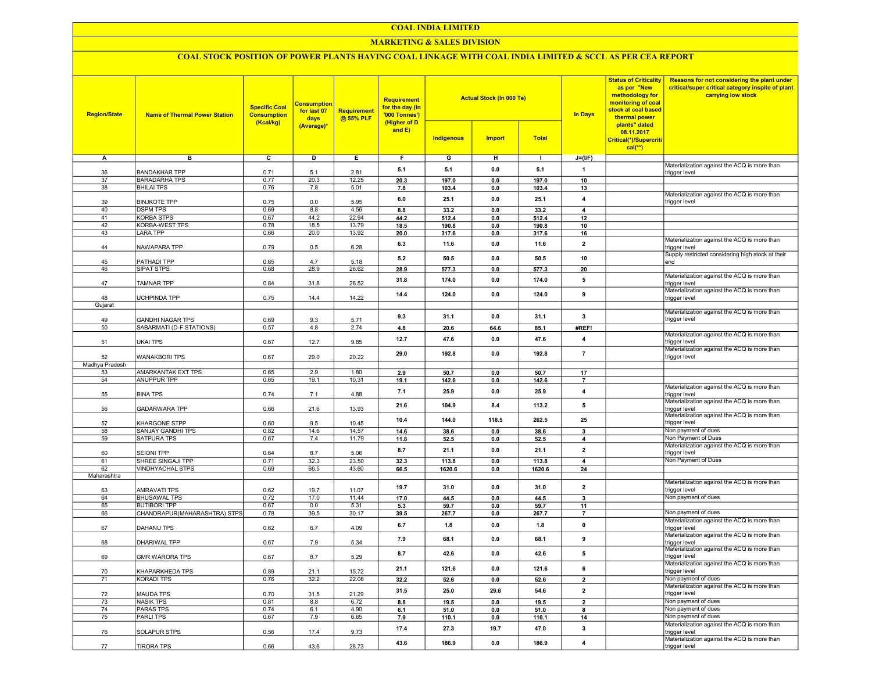#### COAL INDIA LIMITED

## MARKETING & SALES DIVISION

## COAL STOCK POSITION OF POWER PLANTS HAVING COAL LINKAGE WITH COAL INDIA LIMITED & SCCL AS PER CEA REPORT

| <b>Region/State</b> | <b>Name of Thermal Power Station</b>      | <b>Specific Coal</b><br><b>Consumption</b><br>(Kcal/kg) | <b>Consumption</b><br>for last 07<br>days<br>(Average)* | <b>Requirement</b><br>@ 55% PLF | <b>Requirement</b><br>for the day (In<br>'000 Tonnes')<br>(Higher of D<br>and E) | <b>Indigenous</b> | <b>Actual Stock (In 000 Te)</b><br><b>Import</b> | <b>Total</b> | <b>In Days</b>          | <b>Status of Criticality</b><br>as per "New<br>methodology for<br>monitoring of coal<br>stock at coal based<br>thermal power<br>plants" dated<br>08.11.2017<br>Critical(*)/Supercriti<br>$cal$ <sup>**</sup> ) | Reasons for not considering the plant under<br>critical/super critical category inspite of plant<br>carrying low stock |
|---------------------|-------------------------------------------|---------------------------------------------------------|---------------------------------------------------------|---------------------------------|----------------------------------------------------------------------------------|-------------------|--------------------------------------------------|--------------|-------------------------|----------------------------------------------------------------------------------------------------------------------------------------------------------------------------------------------------------------|------------------------------------------------------------------------------------------------------------------------|
| Α                   | в                                         | $\overline{c}$                                          | D                                                       | Е.                              | F.                                                                               | G                 | н                                                | л.           | $J=(I/F)$               |                                                                                                                                                                                                                |                                                                                                                        |
|                     |                                           |                                                         |                                                         |                                 | 5.1                                                                              | 5.1               | 0.0                                              | 5.1          | $\mathbf{1}$            |                                                                                                                                                                                                                | Materialization against the ACQ is more than                                                                           |
| 36                  | <b>BANDAKHAR TPP</b>                      | 0.71                                                    | 5.1                                                     | 2.81                            |                                                                                  |                   |                                                  |              |                         |                                                                                                                                                                                                                | trigger level                                                                                                          |
| 37<br>38            | <b>BARADARHA TPS</b><br><b>BHILAI TPS</b> | 0.77<br>0.76                                            | 20.3<br>7.8                                             | 12.25<br>5.01                   | 20.3                                                                             | 197.0             | 0.0                                              | 197.0        | 10                      |                                                                                                                                                                                                                |                                                                                                                        |
|                     |                                           |                                                         |                                                         |                                 | 7.8                                                                              | 103.4             | 0.0                                              | 103.4        | 13                      |                                                                                                                                                                                                                | Materialization against the ACQ is more than                                                                           |
| 39                  | <b>BINJKOTE TPP</b>                       | 0.75                                                    | 0.0                                                     | 5.95                            | 6.0                                                                              | 25.1              | 0.0                                              | 25.1         | $\overline{\mathbf{4}}$ |                                                                                                                                                                                                                | trigger level                                                                                                          |
| 40                  | <b>DSPM TPS</b>                           | 0.69                                                    | 8.8                                                     | 4.56                            | 8.8                                                                              | 33.2              | 0.0                                              | 33.2         | $\overline{4}$          |                                                                                                                                                                                                                |                                                                                                                        |
| 41                  | <b>KORBA STPS</b>                         | 0.67                                                    | 44.2                                                    | 22.94                           | 44.2                                                                             | 512.4             | 0.0                                              | 512.4        | 12                      |                                                                                                                                                                                                                |                                                                                                                        |
| 42                  | KORBA-WEST TPS                            | 0.78                                                    | 18.5                                                    | 13.79                           | 18.5                                                                             | 190.8             | 0.0                                              | 190.8        | 10                      |                                                                                                                                                                                                                |                                                                                                                        |
| 43                  | LARA TPP                                  | 0.66                                                    | 20.0                                                    | 13.92                           | 20.0                                                                             | 317.6             | 0.0                                              | 317.6        | 16                      |                                                                                                                                                                                                                |                                                                                                                        |
|                     |                                           |                                                         |                                                         |                                 | 6.3                                                                              | 11.6              | 0.0                                              | 11.6         | $\overline{2}$          |                                                                                                                                                                                                                | Materialization against the ACQ is more than                                                                           |
| 44                  | NAWAPARA TPP                              | 0.79                                                    | 0.5                                                     | 6.28                            |                                                                                  |                   |                                                  |              |                         |                                                                                                                                                                                                                | trigger level<br>Supply restricted considering high stock at their                                                     |
| 45                  | PATHADI TPP                               | 0.65                                                    | 4.7                                                     | 5.18                            | 5.2                                                                              | 50.5              | 0.0                                              | 50.5         | 10                      |                                                                                                                                                                                                                | end                                                                                                                    |
| 46                  | SIPAT STPS                                | 0.68                                                    | 28.9                                                    | 26.62                           | 28.9                                                                             | 577.3             | 0.0                                              | 577.3        | 20                      |                                                                                                                                                                                                                |                                                                                                                        |
|                     |                                           |                                                         |                                                         |                                 | 31.8                                                                             | 174.0             | 0.0                                              | 174.0        | 5                       |                                                                                                                                                                                                                | Materialization against the ACQ is more than                                                                           |
| 47                  | TAMNAR TPP                                | 0.84                                                    | 31.8                                                    | 26.52                           |                                                                                  |                   |                                                  |              |                         |                                                                                                                                                                                                                | trigger level                                                                                                          |
|                     |                                           |                                                         |                                                         |                                 | 14.4                                                                             | 124.0             | 0.0                                              | 124.0        | 9                       |                                                                                                                                                                                                                | Materialization against the ACQ is more than                                                                           |
| 48<br>Gujarat       | UCHPINDA TPP                              | 0.75                                                    | 14.4                                                    | 14.22                           |                                                                                  |                   |                                                  |              |                         |                                                                                                                                                                                                                | trigger level                                                                                                          |
|                     |                                           |                                                         |                                                         |                                 |                                                                                  |                   |                                                  |              |                         |                                                                                                                                                                                                                | Materialization against the ACQ is more than                                                                           |
| 49                  | <b>GANDHI NAGAR TPS</b>                   | 0.69                                                    | 9.3                                                     | 5.71                            | 9.3                                                                              | 31.1              | 0.0                                              | 31.1         | $\mathbf{3}$            |                                                                                                                                                                                                                | trigger level                                                                                                          |
| 50                  | SABARMATI (D-F STATIONS)                  | 0.57                                                    | 4.8                                                     | 2.74                            | 4.8                                                                              | 20.6              | 64.6                                             | 85.1         | #REF!                   |                                                                                                                                                                                                                |                                                                                                                        |
|                     |                                           |                                                         |                                                         |                                 |                                                                                  |                   |                                                  |              |                         |                                                                                                                                                                                                                | Materialization against the ACQ is more than                                                                           |
| 51                  | UKAI TPS                                  | 0.67                                                    | 12.7                                                    | 9.85                            | 12.7                                                                             | 47.6              | 0.0                                              | 47.6         | $\overline{4}$          |                                                                                                                                                                                                                | trigger level                                                                                                          |
|                     |                                           |                                                         |                                                         |                                 | 29.0                                                                             | 192.8             | 0.0                                              | 192.8        | $\overline{7}$          |                                                                                                                                                                                                                | Materialization against the ACQ is more than                                                                           |
| 52                  | <b>WANAKBORI TPS</b>                      | 0.67                                                    | 29.0                                                    | 20.22                           |                                                                                  |                   |                                                  |              |                         |                                                                                                                                                                                                                | trigger level                                                                                                          |
| Madhya Pradesh      |                                           |                                                         |                                                         |                                 |                                                                                  |                   |                                                  |              |                         |                                                                                                                                                                                                                |                                                                                                                        |
| 53                  | AMARKANTAK EXT TPS                        | 0.65                                                    | 2.9                                                     | 1.80                            | 2.9                                                                              | 50.7              | 0.0                                              | 50.7         | 17                      |                                                                                                                                                                                                                |                                                                                                                        |
| 54                  | <b>ANUPPUR TPP</b>                        | 0.65                                                    | 19.1                                                    | 10.31                           | 19.1                                                                             | 142.6             | 0.0                                              | 142.6        | $\overline{7}$          |                                                                                                                                                                                                                | Materialization against the ACQ is more than                                                                           |
| 55                  | <b>BINA TPS</b>                           | 0.74                                                    | 7.1                                                     | 4.88                            | 7.1                                                                              | 25.9              | 0.0                                              | 25.9         | $\overline{\mathbf{4}}$ |                                                                                                                                                                                                                | trigger level                                                                                                          |
|                     |                                           |                                                         |                                                         |                                 |                                                                                  |                   |                                                  |              |                         |                                                                                                                                                                                                                | Materialization against the ACQ is more than                                                                           |
| 56                  | GADARWARA TPP                             | 0.66                                                    | 21.6                                                    | 13.93                           | 21.6                                                                             | 104.9             | 8.4                                              | 113.2        | 5                       |                                                                                                                                                                                                                | trigger level                                                                                                          |
|                     |                                           |                                                         |                                                         |                                 | 10.4                                                                             | 144.0             | 118.5                                            | 262.5        | 25                      |                                                                                                                                                                                                                | Materialization against the ACQ is more than                                                                           |
| 57                  | KHARGONE STPP                             | 0.60                                                    | 9.5                                                     | 10.45                           |                                                                                  |                   |                                                  |              |                         |                                                                                                                                                                                                                | trigger level                                                                                                          |
| 58                  | SANJAY GANDHI TPS                         | 0.82                                                    | 14.6                                                    | 14.57                           | 14.6                                                                             | 38.6              | 0.0                                              | 38.6         | 3                       |                                                                                                                                                                                                                | Non payment of dues                                                                                                    |
| 59                  | SATPURA TPS                               | 0.67                                                    | 7.4                                                     | 11.79                           | 11.8                                                                             | 52.5              | 0.0                                              | 52.5         | 4                       |                                                                                                                                                                                                                | Non Payment of Dues<br>Materialization against the ACQ is more than                                                    |
| 60                  | <b>SEIONI TPP</b>                         | 0.64                                                    | 8.7                                                     | 5.06                            | 8.7                                                                              | 21.1              | 0.0                                              | 21.1         | $\overline{2}$          |                                                                                                                                                                                                                | trigger level                                                                                                          |
| 61                  | SHREE SINGAJI TPP                         | 0.71                                                    | 32.3                                                    | 23.50                           | 32.3                                                                             | 113.8             | 0.0                                              | 113.8        | 4                       |                                                                                                                                                                                                                | Non Payment of Dues                                                                                                    |
| 62                  | VINDHYACHAL STPS                          | 0.69                                                    | 66.5                                                    | 43.60                           | 66.5                                                                             | 1620.6            | 0.0                                              | 1620.6       | 24                      |                                                                                                                                                                                                                |                                                                                                                        |
| Maharashtra         |                                           |                                                         |                                                         |                                 |                                                                                  |                   |                                                  |              |                         |                                                                                                                                                                                                                |                                                                                                                        |
|                     |                                           |                                                         |                                                         |                                 | 19.7                                                                             | 31.0              | 0.0                                              | 31.0         | $\overline{2}$          |                                                                                                                                                                                                                | Materialization against the ACQ is more than                                                                           |
| 63                  | AMRAVATI TPS                              | 0.62                                                    | 19.7                                                    | 11.07                           |                                                                                  |                   |                                                  |              |                         |                                                                                                                                                                                                                | trigger level                                                                                                          |
| 64                  | <b>BHUSAWAL TPS</b>                       | 0.72                                                    | 17.0                                                    | 11.44                           | 17.0                                                                             | 44.5              | 0.0                                              | 44.5         | 3                       |                                                                                                                                                                                                                | Non payment of dues                                                                                                    |
| 65                  | <b>BUTIBORI TPP</b>                       | 0.67                                                    | 0.0                                                     | 5.31                            | 5.3                                                                              | 59.7              | 0.0                                              | 59.7         | 11                      |                                                                                                                                                                                                                |                                                                                                                        |
| 66                  | CHANDRAPUR(MAHARASHTRA) STPS              | 0.78                                                    | 39.5                                                    | 30.17                           | 39.5                                                                             | 267.7             | 0.0                                              | 267.7        | $\overline{7}$          |                                                                                                                                                                                                                | Non payment of dues                                                                                                    |
| 67                  | DAHANU TPS                                | 0.62                                                    | 6.7                                                     | 4.09                            | 6.7                                                                              | 1.8               | 0.0                                              | 1.8          | $\pmb{0}$               |                                                                                                                                                                                                                | Materialization against the ACQ is more than<br>trigger level                                                          |
|                     |                                           |                                                         |                                                         |                                 |                                                                                  |                   |                                                  |              |                         |                                                                                                                                                                                                                | Materialization against the ACQ is more than                                                                           |
| 68                  | DHARIWAL TPP                              | 0.67                                                    | 7.9                                                     | 5.34                            | 7.9                                                                              | 68.1              | 0.0                                              | 68.1         | 9                       |                                                                                                                                                                                                                | trigger level                                                                                                          |
|                     |                                           |                                                         |                                                         |                                 | 8.7                                                                              | 42.6              | 0.0                                              | 42.6         | 5                       |                                                                                                                                                                                                                | Materialization against the ACQ is more than                                                                           |
| 69                  | GMR WARORA TPS                            | 0.67                                                    | 8.7                                                     | 5.29                            |                                                                                  |                   |                                                  |              |                         |                                                                                                                                                                                                                | trigger level                                                                                                          |
|                     |                                           |                                                         |                                                         |                                 | 21.1                                                                             | 121.6             | 0.0                                              | 121.6        | 6                       |                                                                                                                                                                                                                | Materialization against the ACQ is more than                                                                           |
| 70                  | KHAPARKHEDA TPS                           | 0.89                                                    | 21.1<br>32.2                                            | 15.72                           |                                                                                  |                   |                                                  |              |                         |                                                                                                                                                                                                                | trigger level<br>Non payment of dues                                                                                   |
| 71                  | KORADI TPS                                | 0.76                                                    |                                                         | 22.08                           | 32.2                                                                             | 52.6              | 0.0                                              | 52.6         | $\mathbf{2}$            |                                                                                                                                                                                                                | Materialization against the ACQ is more than                                                                           |
| 72                  | <b>MAUDA TPS</b>                          | 0.70                                                    | 31.5                                                    | 21.29                           | 31.5                                                                             | 250               | 29.6                                             | 54.6         | $\overline{2}$          |                                                                                                                                                                                                                | trigger level                                                                                                          |
| 73                  | <b>NASIK TPS</b>                          | 0.81                                                    | 8.8                                                     | 6.72                            | 8.8                                                                              | 19.5              | 0.0                                              | 19.5         | $\overline{2}$          |                                                                                                                                                                                                                | Non payment of dues                                                                                                    |
| 74                  | <b>PARAS TPS</b>                          | 0.74                                                    | 6.1                                                     | 4.90                            | 6.1                                                                              | 51.0              | 0.0                                              | 51.0         | 8                       |                                                                                                                                                                                                                | Non payment of dues                                                                                                    |
| 75                  | <b>PARLITPS</b>                           | 0.67                                                    | 7.9                                                     | 6.65                            | 7.9                                                                              | 110.1             | 0.0                                              | 110.1        | 14                      |                                                                                                                                                                                                                | Non payment of dues                                                                                                    |
|                     |                                           |                                                         |                                                         |                                 |                                                                                  |                   |                                                  |              |                         |                                                                                                                                                                                                                | Materialization against the ACQ is more than                                                                           |
| 76                  | SOLAPUR STPS                              | 0.56                                                    | 17.4                                                    | 9.73                            | 17.4                                                                             | 27.3              | 19.7                                             | 47.0         | $\mathbf{3}$            |                                                                                                                                                                                                                | trigger level                                                                                                          |
|                     |                                           |                                                         |                                                         |                                 | 43.6                                                                             | 186.9             | 0.0                                              | 186.9        | $\overline{\mathbf{4}}$ |                                                                                                                                                                                                                | Materialization against the ACQ is more than                                                                           |
| 77                  | <b>TIRORA TPS</b>                         | 0.66                                                    | 43.6                                                    | 28.73                           |                                                                                  |                   |                                                  |              |                         |                                                                                                                                                                                                                | trigger level                                                                                                          |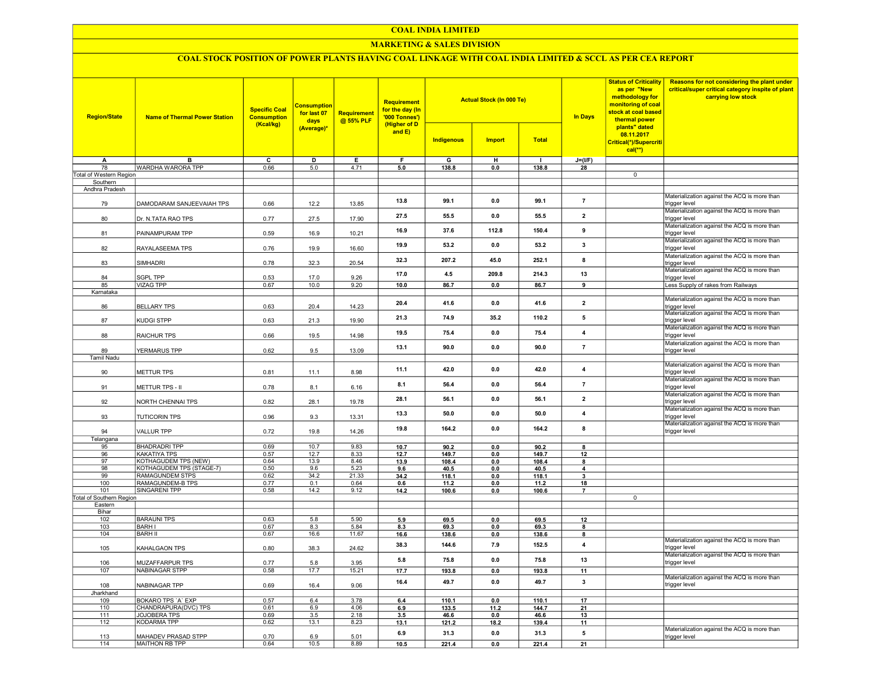#### COAL INDIA LIMITED

## MARKETING & SALES DIVISION

# COAL STOCK POSITION OF POWER PLANTS HAVING COAL LINKAGE WITH COAL INDIA LIMITED & SCCL AS PER CEA REPORT

| <b>Region/State</b>                 | <b>Name of Thermal Power Station</b> | <b>Specific Coal</b><br><b>Consumption</b><br>(Kcal/kg) | <b>Consumption</b><br>for last 07<br>days<br>(Average)* | Requirement<br>@ 55% PLF | <b>Requirement</b><br>for the day (In<br>'000 Tonnes')<br>(Higher of D<br>and $E$ ) |                   | <b>Actual Stock (In 000 Te)</b> |              | <b>In Days</b>           | <b>Status of Criticality</b><br>as per "New<br>methodology for<br>monitoring of coal<br>stock at coal based<br>thermal power<br>plants" dated<br>08.11.2017<br>Critical(*)/Supercriti<br>$cal(**)$ | Reasons for not considering the plant under<br>critical/super critical category inspite of plant<br>carrying low stock |
|-------------------------------------|--------------------------------------|---------------------------------------------------------|---------------------------------------------------------|--------------------------|-------------------------------------------------------------------------------------|-------------------|---------------------------------|--------------|--------------------------|----------------------------------------------------------------------------------------------------------------------------------------------------------------------------------------------------|------------------------------------------------------------------------------------------------------------------------|
|                                     |                                      |                                                         |                                                         |                          |                                                                                     | <b>Indigenous</b> | <b>Import</b>                   | <b>Total</b> |                          |                                                                                                                                                                                                    |                                                                                                                        |
| A                                   | B                                    | $\overline{c}$                                          | $\overline{\mathsf{D}}$                                 | Ε                        | F                                                                                   | G                 | н                               | $\mathbf{I}$ | $J=(I/F)$                |                                                                                                                                                                                                    |                                                                                                                        |
| 78                                  | WARDHA WARORA TPP                    | 0.66                                                    | 5.0                                                     | 4.71                     | 5.0                                                                                 | 138.8             | 0.0                             | 138.8        | 28                       |                                                                                                                                                                                                    |                                                                                                                        |
| Total of Western Region             |                                      |                                                         |                                                         |                          |                                                                                     |                   |                                 |              |                          | $\mathbf 0$                                                                                                                                                                                        |                                                                                                                        |
| Southern                            |                                      |                                                         |                                                         |                          |                                                                                     |                   |                                 |              |                          |                                                                                                                                                                                                    |                                                                                                                        |
| Andhra Pradesh                      |                                      |                                                         |                                                         |                          |                                                                                     |                   |                                 |              |                          |                                                                                                                                                                                                    |                                                                                                                        |
| 79                                  | DAMODARAM SANJEEVAIAH TPS            | 0.66                                                    | 12.2                                                    | 13.85                    | 13.8                                                                                | 99.1              | 0.0                             | 99.1         | $\overline{7}$           |                                                                                                                                                                                                    | Materialization against the ACQ is more than<br>trigger level                                                          |
| 80                                  | Dr. N.TATA RAO TPS                   | 0.77                                                    | 27.5                                                    | 17.90                    | 27.5                                                                                | 55.5              | 0.0                             | 55.5         | $\overline{2}$           |                                                                                                                                                                                                    | Materialization against the ACQ is more than<br>trigger level                                                          |
| 81                                  | PAINAMPURAM TPP                      | 0.59                                                    | 16.9                                                    | 10.21                    | 16.9                                                                                | 37.6              | 112.8                           | 150.4        | 9                        |                                                                                                                                                                                                    | Materialization against the ACQ is more than<br>trigger level<br>Materialization against the ACQ is more than          |
| 82                                  | RAYALASEEMA TPS                      | 0.76                                                    | 19.9                                                    | 16.60                    | 19.9                                                                                | 53.2              | 0.0                             | 53.2         | 3                        |                                                                                                                                                                                                    | trigger level                                                                                                          |
| 83                                  | SIMHADRI                             | 0.78                                                    | 32.3                                                    | 20.54                    | 32.3                                                                                | 207.2             | 45.0                            | 252.1        | 8                        |                                                                                                                                                                                                    | Materialization against the ACQ is more than<br>trigger level                                                          |
| 84                                  | SGPL TPP                             | 0.53                                                    | 17.0                                                    | 9.26                     | 17.0                                                                                | 4.5               | 209.8                           | 214.3        | 13                       |                                                                                                                                                                                                    | Materialization against the ACQ is more than<br>trigger level                                                          |
| 85                                  | <b>VIZAG TPP</b>                     | 0.67                                                    | 10.0                                                    | 9.20                     | 10.0                                                                                | 86.7              | 0.0                             | 86.7         | 9                        |                                                                                                                                                                                                    | Less Supply of rakes from Railways                                                                                     |
| Karnataka                           |                                      |                                                         |                                                         |                          |                                                                                     |                   |                                 |              |                          |                                                                                                                                                                                                    |                                                                                                                        |
| 86                                  | <b>BELLARY TPS</b>                   | 0.63                                                    | 20.4                                                    | 14.23                    | 20.4                                                                                | 41.6              | 0.0                             | 41.6         | $\overline{2}$           |                                                                                                                                                                                                    | Materialization against the ACQ is more than<br>trigger level                                                          |
| 87                                  | KUDGI STPP                           | 0.63                                                    | 21.3                                                    | 19.90                    | 21.3                                                                                | 74.9              | 35.2                            | 110.2        | 5                        |                                                                                                                                                                                                    | Materialization against the ACQ is more than<br>trigger level                                                          |
| 88                                  | RAICHUR TPS                          | 0.66                                                    | 19.5                                                    | 14.98                    | 19.5                                                                                | 75.4              | 0.0                             | 75.4         | $\overline{4}$           |                                                                                                                                                                                                    | Materialization against the ACQ is more than<br>trigger level                                                          |
| 89<br><b>Tamil Nadu</b>             | YERMARUS TPP                         | 0.62                                                    | 9.5                                                     | 13.09                    | 13.1                                                                                | 90.0              | 0.0                             | 90.0         | $\overline{7}$           |                                                                                                                                                                                                    | Materialization against the ACQ is more than<br>trigger level                                                          |
|                                     |                                      |                                                         |                                                         |                          |                                                                                     |                   |                                 |              |                          |                                                                                                                                                                                                    | Materialization against the ACQ is more than                                                                           |
| 90                                  | METTUR TPS                           | 0.81                                                    | 11.1                                                    | 8.98                     | 11.1                                                                                | 42.0              | 0.0                             | 42.0         | 4                        |                                                                                                                                                                                                    | trigger level                                                                                                          |
| 91                                  | METTUR TPS - II                      | 0.78                                                    | 8.1                                                     | 6.16                     | 8.1                                                                                 | 56.4              | 0.0                             | 56.4         | $\overline{\phantom{a}}$ |                                                                                                                                                                                                    | Materialization against the ACQ is more than<br>trigger level                                                          |
| 92                                  | NORTH CHENNAI TPS                    | 0.82                                                    | 28.1                                                    | 19.78                    | 28.1                                                                                | 56.1              | 0.0                             | 56.1         | $\overline{2}$           |                                                                                                                                                                                                    | Materialization against the ACQ is more than<br>trigger level                                                          |
| 93                                  | <b>TUTICORIN TPS</b>                 | 0.96                                                    | 9.3                                                     | 13.31                    | 13.3                                                                                | 50.0              | 0.0                             | 50.0         | 4                        |                                                                                                                                                                                                    | Materialization against the ACQ is more than<br>trigger level                                                          |
| 94                                  | <b>VALLUR TPP</b>                    | 0.72                                                    | 19.8                                                    | 14.26                    | 19.8                                                                                | 164.2             | 0.0                             | 164.2        | 8                        |                                                                                                                                                                                                    | Materialization against the ACQ is more than<br>trigger level                                                          |
| Telangana                           |                                      |                                                         |                                                         |                          |                                                                                     |                   |                                 |              |                          |                                                                                                                                                                                                    |                                                                                                                        |
| 95                                  | <b>BHADRADRI TPP</b>                 | 0.69                                                    | 10.7                                                    | 9.83                     | 10.7                                                                                | 90.2              | 0.0                             | 90.2         | 8                        |                                                                                                                                                                                                    |                                                                                                                        |
| 96                                  | KAKATIYA TPS                         | 0.57                                                    | 12.7                                                    | 8.33                     | 12.7                                                                                | 149.7             | 0.0                             | 149.7        | 12                       |                                                                                                                                                                                                    |                                                                                                                        |
| 97                                  | KOTHAGUDEM TPS (NEW)                 | 0.64                                                    | 13.9                                                    | 8.46                     | 13.9                                                                                | 108.4             | 0.0                             | 108.4        | 8                        |                                                                                                                                                                                                    |                                                                                                                        |
| 98                                  | KOTHAGUDEM TPS (STAGE-7)             | 0.50                                                    | 9.6                                                     | 5.23                     | 9.6                                                                                 | 40.5              | 0.0                             | 40.5         | 4                        |                                                                                                                                                                                                    |                                                                                                                        |
| 99                                  | RAMAGUNDEM STPS                      | 0.62                                                    | 34.2                                                    | 21.33                    | 34.2                                                                                | 118.1             | 0.0                             | 118.1        | 3                        |                                                                                                                                                                                                    |                                                                                                                        |
| 100                                 | RAMAGUNDEM-B TPS                     | 0.77                                                    | 0.1                                                     | 0.64                     | 0.6                                                                                 | 11.2              | 0.0                             | 11.2         | 18                       |                                                                                                                                                                                                    |                                                                                                                        |
| 101                                 | <b>SINGARENI TPP</b>                 | 0.58                                                    | 14.2                                                    | 9.12                     | 14.2                                                                                | 100.6             | 0.0                             | 100.6        | $\overline{7}$           | $\mathbf 0$                                                                                                                                                                                        |                                                                                                                        |
| Total of Southern Region<br>Eastern |                                      |                                                         |                                                         |                          |                                                                                     |                   |                                 |              |                          |                                                                                                                                                                                                    |                                                                                                                        |
| Bihar                               |                                      |                                                         |                                                         |                          |                                                                                     |                   |                                 |              |                          |                                                                                                                                                                                                    |                                                                                                                        |
| 102                                 | <b>BARAUNI TPS</b>                   | 0.63                                                    | 5.8                                                     | 5.90                     | 5.9                                                                                 | 69.5              | 0.0                             | 69.5         | 12                       |                                                                                                                                                                                                    |                                                                                                                        |
| 103                                 | <b>BARH I</b>                        | 0.67                                                    | 8.3                                                     | 5.84                     | 8.3                                                                                 | 69.3              | 0.0                             | 69.3         | 8                        |                                                                                                                                                                                                    |                                                                                                                        |
| 104                                 | <b>BARH II</b>                       | 0.67                                                    | 16.6                                                    | 11.67                    | 16.6                                                                                | 138.6             | 0.0                             | 138.6        | 8                        |                                                                                                                                                                                                    |                                                                                                                        |
| 105                                 | KAHALGAON TPS                        | 0.80                                                    | 38.3                                                    | 24.62                    | 38.3                                                                                | 144.6             | 7.9                             | 152.5        | $\overline{\mathbf{4}}$  |                                                                                                                                                                                                    | Materialization against the ACQ is more than<br>trigger level                                                          |
| 106                                 | MUZAFFARPUR TPS                      | 0.77                                                    | 5.8                                                     | 3.95                     | 5.8                                                                                 | 75.8              | 0.0                             | 75.8         | 13                       |                                                                                                                                                                                                    | Materialization against the ACQ is more than<br>trigger level                                                          |
| 107                                 | <b>NABINAGAR STPP</b>                | 0.58                                                    | 17.7                                                    | 15.21                    | 17.7                                                                                | 193.8             | 0.0                             | 193.8        | 11                       |                                                                                                                                                                                                    |                                                                                                                        |
| 108                                 | NABINAGAR TPP                        | 0.69                                                    | 16.4                                                    | 9.06                     | 16.4                                                                                | 49.7              | 0.0                             | 49.7         | $\mathbf{3}$             |                                                                                                                                                                                                    | Materialization against the ACQ is more than<br>trigger level                                                          |
| Jharkhand                           |                                      |                                                         |                                                         |                          |                                                                                     |                   |                                 |              |                          |                                                                                                                                                                                                    |                                                                                                                        |
| 109                                 | <b>BOKARO TPS 'A' EXP</b>            | 0.57                                                    | 6.4                                                     | 3.78                     | 6.4                                                                                 | 110.1             | 0 <sub>0</sub>                  | 110.1        | 17                       |                                                                                                                                                                                                    |                                                                                                                        |
| 110                                 | CHANDRAPURA(DVC) TPS                 | 0.61                                                    | 6.9                                                     | 4.06                     | 6.9                                                                                 | 133.5             | 11.2                            | 144.7        | 21                       |                                                                                                                                                                                                    |                                                                                                                        |
| 111                                 | <b>JOJOBERA TPS</b>                  | 0.69                                                    | 3.5                                                     | 2.18                     | 3.5                                                                                 | 46.6              | 0.0                             | 46.6         | 13                       |                                                                                                                                                                                                    |                                                                                                                        |
| 112                                 | <b>KODARMA TPP</b>                   | 0.62                                                    | 13.1                                                    | 8.23                     | 13.1                                                                                | 121.2             | 18.2                            | 139.4        | 11                       |                                                                                                                                                                                                    |                                                                                                                        |
| 113                                 | MAHADEV PRASAD STPP                  | 0.70                                                    | 6.9                                                     | 5.01                     | 6.9                                                                                 | 31.3              | 0.0                             | 31.3         | 5                        |                                                                                                                                                                                                    | Materialization against the ACQ is more than<br>trigger level                                                          |
| 114                                 | MAITHON RB TPP                       | 0.64                                                    | 10.5                                                    | 8.89                     | 10.5                                                                                | 221.4             | 0.0                             | 221.4        | 21                       |                                                                                                                                                                                                    |                                                                                                                        |